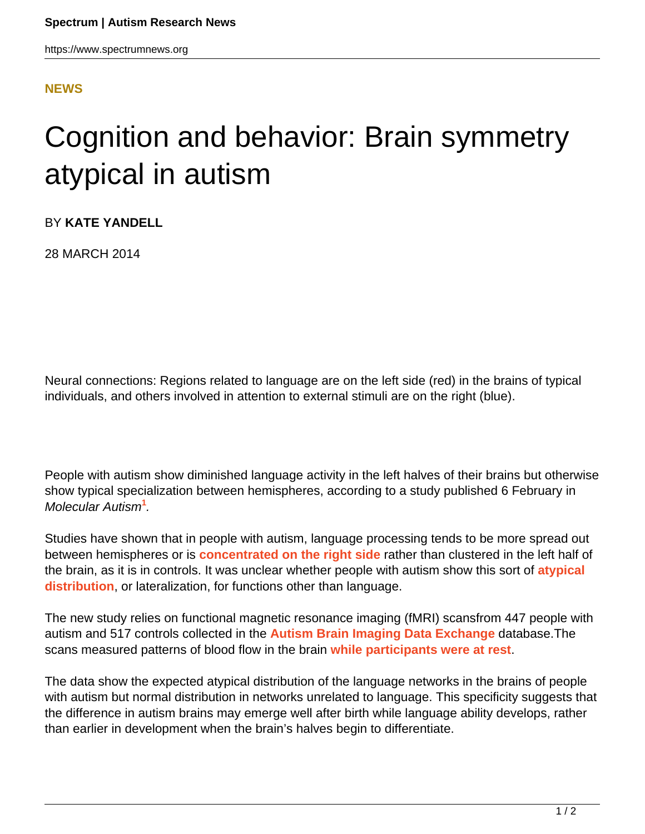## **[NEWS](HTTPS://WWW.SPECTRUMNEWS.ORG/NEWS/)**

## Cognition and behavior: Brain symmetry atypical in autism

BY **KATE YANDELL**

28 MARCH 2014

Neural connections: Regions related to language are on the left side (red) in the brains of typical individuals, and others involved in attention to external stimuli are on the right (blue).

People with autism show diminished language activity in the left halves of their brains but otherwise show typical specialization between hemispheres, according to a study published 6 February in Molecular Autism**<sup>1</sup>** .

Studies have shown that in people with autism, language processing tends to be more spread out between hemispheres or is **[concentrated on the right side](https://www.spectrumnews.org/conference-news/2010/international-meeting-for-autism-research-2010/language-specialization-skewed-in-children-with-autism)** rather than clustered in the left half of the brain, as it is in controls. It was unclear whether people with autism show this sort of **[atypical](https://www.spectrumnews.org/in-brief/2011/cognition-and-behavior-language-gene-alters-brain-activity) [distribution](https://www.spectrumnews.org/in-brief/2011/cognition-and-behavior-language-gene-alters-brain-activity)**, or lateralization, for functions other than language.

The new study relies on functional magnetic resonance imaging (fMRI) scansfrom 447 people with autism and 517 controls collected in the **[Autism Brain Imaging Data Exchange](https://www.spectrumnews.org/news/2013/autism-researchers-launch-scheme-to-share-brain-imaging-data)** database.The scans measured patterns of blood flow in the brain **[while participants were at rest](https://www.spectrumnews.org/news/2010/daydreaming-circuit-implicated-in-autism-attention-deficit)**.

The data show the expected atypical distribution of the language networks in the brains of people with autism but normal distribution in networks unrelated to language. This specificity suggests that the difference in autism brains may emerge well after birth while language ability develops, rather than earlier in development when the brain's halves begin to differentiate.